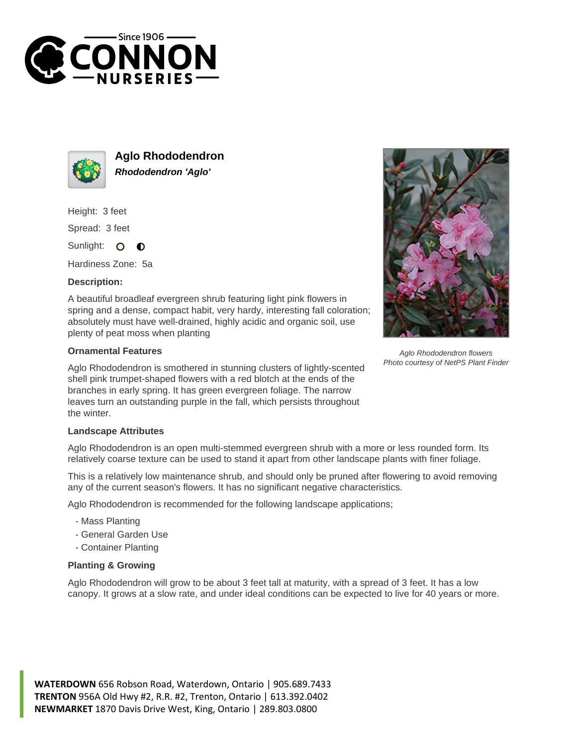



**Aglo Rhododendron Rhododendron 'Aglo'**

Height: 3 feet

Spread: 3 feet

Sunlight: O  $\bullet$ 

Hardiness Zone: 5a

## **Description:**

A beautiful broadleaf evergreen shrub featuring light pink flowers in spring and a dense, compact habit, very hardy, interesting fall coloration; absolutely must have well-drained, highly acidic and organic soil, use plenty of peat moss when planting

## **Ornamental Features**

Aglo Rhododendron is smothered in stunning clusters of lightly-scented shell pink trumpet-shaped flowers with a red blotch at the ends of the branches in early spring. It has green evergreen foliage. The narrow leaves turn an outstanding purple in the fall, which persists throughout the winter.



Aglo Rhododendron flowers Photo courtesy of NetPS Plant Finder

## **Landscape Attributes**

Aglo Rhododendron is an open multi-stemmed evergreen shrub with a more or less rounded form. Its relatively coarse texture can be used to stand it apart from other landscape plants with finer foliage.

This is a relatively low maintenance shrub, and should only be pruned after flowering to avoid removing any of the current season's flowers. It has no significant negative characteristics.

Aglo Rhododendron is recommended for the following landscape applications;

- Mass Planting
- General Garden Use
- Container Planting

## **Planting & Growing**

Aglo Rhododendron will grow to be about 3 feet tall at maturity, with a spread of 3 feet. It has a low canopy. It grows at a slow rate, and under ideal conditions can be expected to live for 40 years or more.

**WATERDOWN** 656 Robson Road, Waterdown, Ontario | 905.689.7433 **TRENTON** 956A Old Hwy #2, R.R. #2, Trenton, Ontario | 613.392.0402 **NEWMARKET** 1870 Davis Drive West, King, Ontario | 289.803.0800